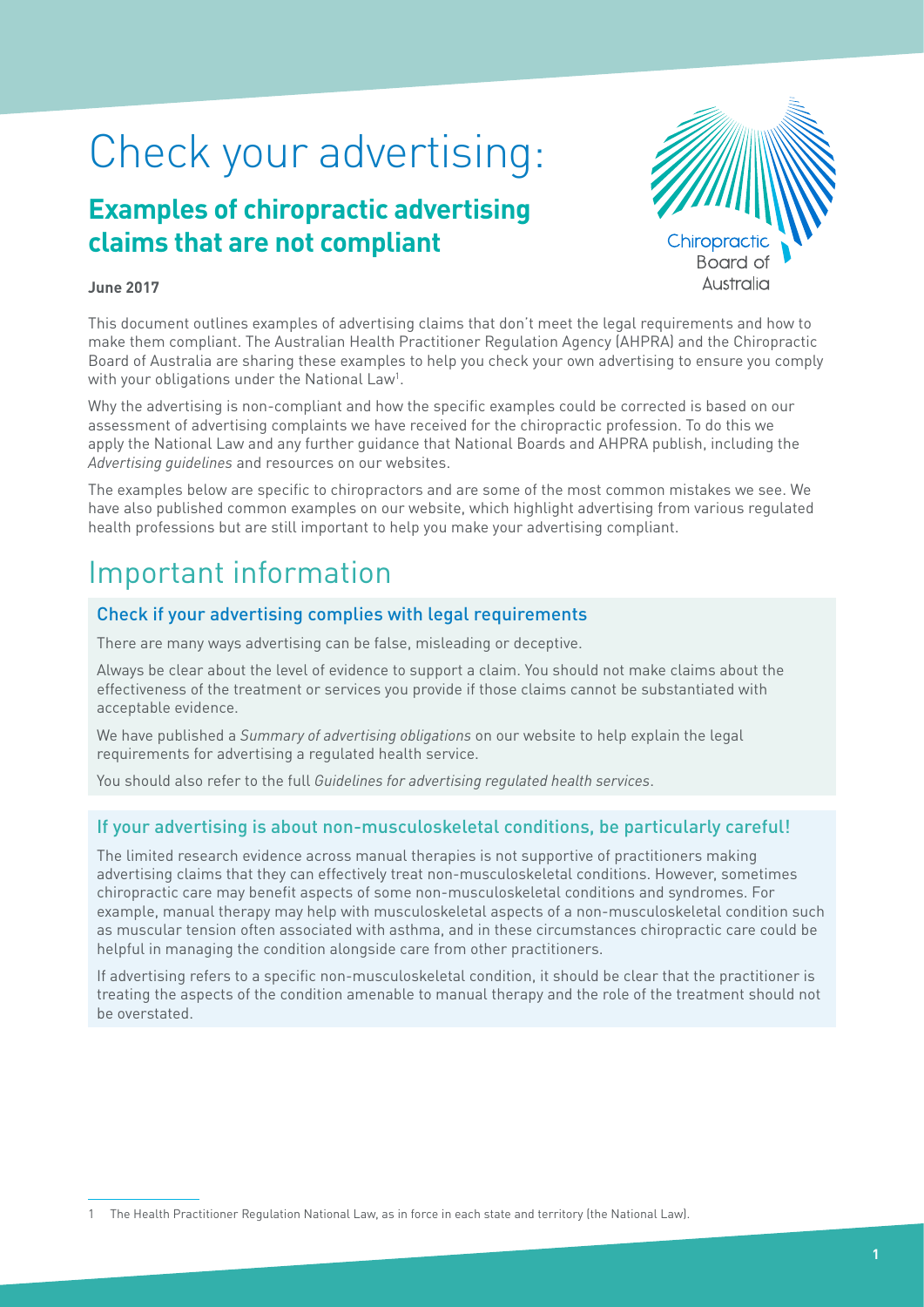# Check your advertising:

## **Examples of chiropractic advertising claims that are not compliant**



### **June 2017**

This document outlines examples of advertising claims that don't meet the legal requirements and how to make them compliant. The Australian Health Practitioner Regulation Agency (AHPRA) and the Chiropractic Board of Australia are sharing these examples to help you check your own advertising to ensure you comply with your obligations under the National Law<sup>1</sup>.

Why the advertising is non-compliant and how the specific examples could be corrected is based on our assessment of advertising complaints we have received for the chiropractic profession. To do this we apply the National Law and any further guidance that National Boards and AHPRA publish, including the *Advertising guidelines* and resources on our websites.

The examples below are specific to chiropractors and are some of the most common mistakes we see. We have also published common examples on our website, which highlight advertising from various regulated health professions but are still important to help you make your advertising compliant.

## Important information

### Check if your advertising complies with legal requirements

There are many ways advertising can be false, misleading or deceptive.

Always be clear about the level of evidence to support a claim. You should not make claims about the effectiveness of the treatment or services you provide if those claims cannot be substantiated with acceptable evidence.

We have published a *Summary of advertising obligations* on our website to help explain the legal requirements for advertising a regulated health service.

You should also refer to the full *Guidelines for advertising regulated health services*.

### If your advertising is about non-musculoskeletal conditions, be particularly careful!

The limited research evidence across manual therapies is not supportive of practitioners making advertising claims that they can effectively treat non-musculoskeletal conditions. However, sometimes chiropractic care may benefit aspects of some non-musculoskeletal conditions and syndromes. For example, manual therapy may help with musculoskeletal aspects of a non-musculoskeletal condition such as muscular tension often associated with asthma, and in these circumstances chiropractic care could be helpful in managing the condition alongside care from other practitioners.

If advertising refers to a specific non-musculoskeletal condition, it should be clear that the practitioner is treating the aspects of the condition amenable to manual therapy and the role of the treatment should not be overstated.

1 The Health Practitioner Regulation National Law, as in force in each state and territory (the National Law).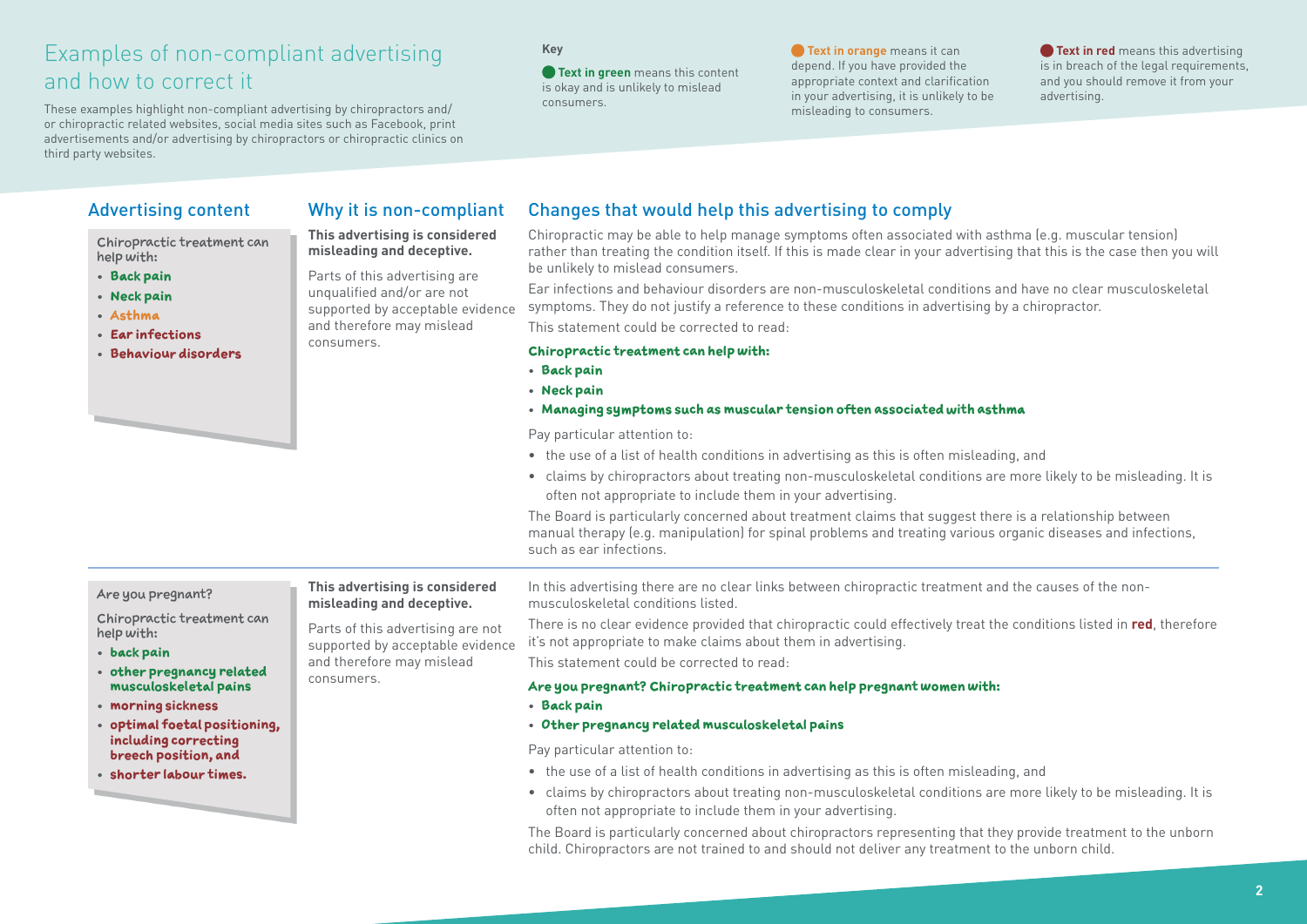## Examples of non-compliant advertising and how to correct it

These examples highlight non-compliant advertising by chiropractors and/ or chiropractic related websites, social media sites such as Facebook, print advertisements and/or advertising by chiropractors or chiropractic clinics on third party websites.

> **This advertising is considered misleading and deceptive.** Parts of this advertising are unqualified and/or are not supported by acceptable evidence and therefore may mislead

consumers.

### **Key**

**• Text in green** means this content is okay and is unlikely to mislead consumers.

**• Text in orange** means it can depend. If you have provided the appropriate context and clarification in your advertising, it is unlikely to be misleading to consumers.

**Text in red** means this advertising is in breach of the legal requirements, and you should remove it from your advertising.

Chiropractic treatment can help with:

- **• Back pain**
- **• Neck pain**
- **• Asthma**
- **• Ear infections**
- **• Behaviour disorders**

### Advertising content Why it is non-compliant Changes that would help this advertising to comply

Chiropractic may be able to help manage symptoms often associated with asthma (e.g. muscular tension) rather than treating the condition itself. If this is made clear in your advertising that this is the case then you will be unlikely to mislead consumers.

Ear infections and behaviour disorders are non-musculoskeletal conditions and have no clear musculoskeletal symptoms. They do not justify a reference to these conditions in advertising by a chiropractor.

This statement could be corrected to read:

#### **Chiropractic treatment can help with:**

- **• Back pain**
- **• Neck pain**
- **• Managing symptoms such as muscular tension often associated with asthma**

Pay particular attention to:

- the use of a list of health conditions in advertising as this is often misleading, and
- claims by chiropractors about treating non-musculoskeletal conditions are more likely to be misleading. It is often not appropriate to include them in your advertising.

The Board is particularly concerned about treatment claims that suggest there is a relationship between manual therapy (e.g. manipulation) for spinal problems and treating various organic diseases and infections, such as ear infections.

#### Are you pregnant? Chiropractic treatment can help with: **• back pain • other pregnancy related musculoskeletal pains • morning sickness • optimal foetal positioning, including correcting breech position, and • shorter labour times. This advertising is considered misleading and deceptive.** Parts of this advertising are not supported by acceptable evidence and therefore may mislead consumers. In this advertising there are no clear links between chiropractic treatment and the causes of the nonmusculoskeletal conditions listed. There is no clear evidence provided that chiropractic could effectively treat the conditions listed in **red**, therefore it's not appropriate to make claims about them in advertising. This statement could be corrected to read: **Are you pregnant? Chiropractic treatment can help pregnant women with: • Back pain • Other pregnancy related musculoskeletal pains** Pay particular attention to: • the use of a list of health conditions in advertising as this is often misleading, and • claims by chiropractors about treating non-musculoskeletal conditions are more likely to be misleading. It is often not appropriate to include them in your advertising.

The Board is particularly concerned about chiropractors representing that they provide treatment to the unborn child. Chiropractors are not trained to and should not deliver any treatment to the unborn child.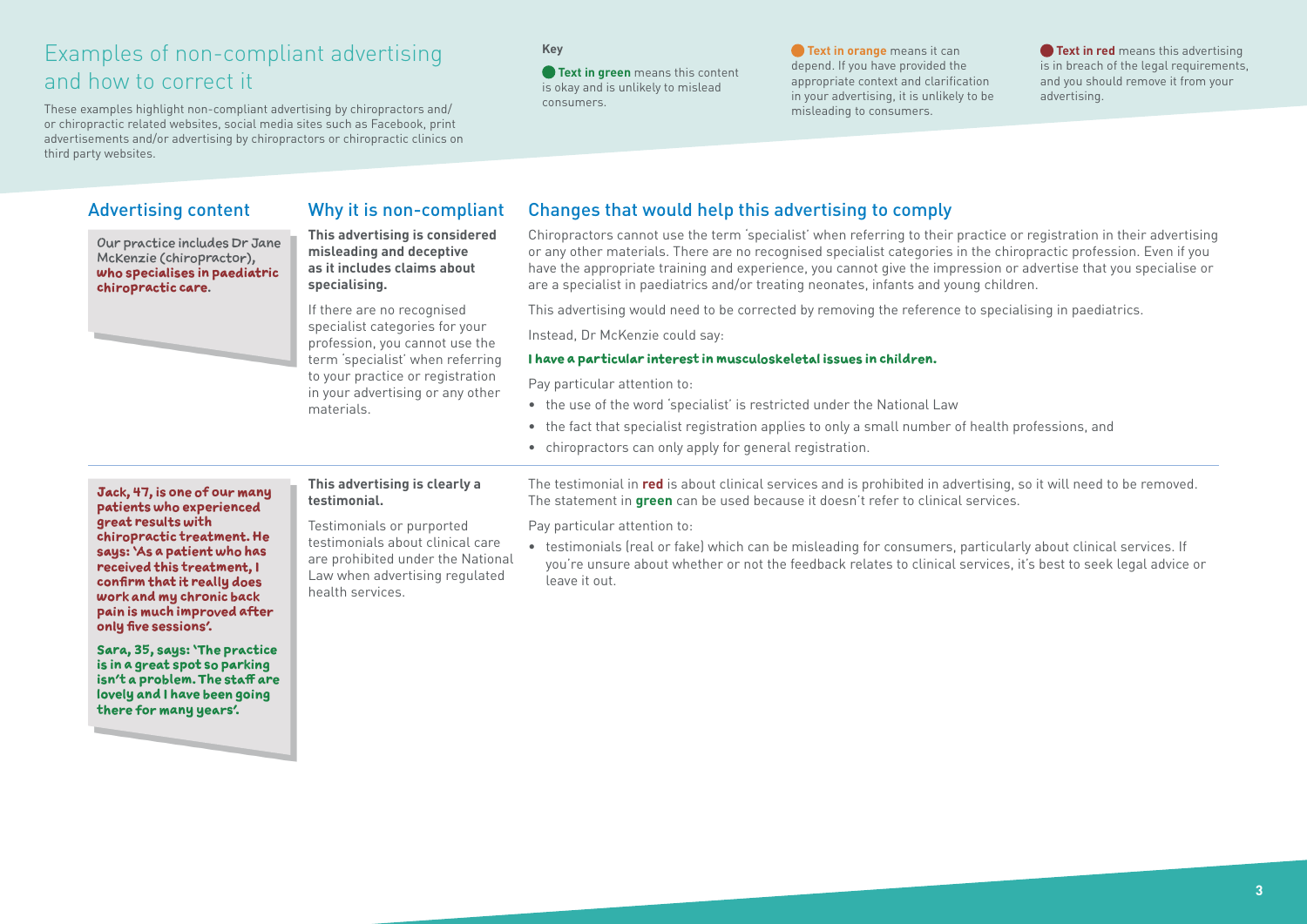## Examples of non-compliant advertising and how to correct it

These examples highlight non-compliant advertising by chiropractors and/ or chiropractic related websites, social media sites such as Facebook, print advertisements and/or advertising by chiropractors or chiropractic clinics on third party websites.

### **Key**

**• Text in green** means this content is okay and is unlikely to mislead consumers.

**• Text in orange** means it can depend. If you have provided the appropriate context and clarification in your advertising, it is unlikely to be misleading to consumers.

**Text in red** means this advertising is in breach of the legal requirements, and you should remove it from your advertising.

Our practice includes Dr Jane McKenzie (chiropractor), **who specialises in paediatric chiropractic care**.



## **This advertising is considered**

**misleading and deceptive as it includes claims about specialising.**

If there are no recognised specialist categories for your profession, you cannot use the term 'specialist' when referring to your practice or registration in your advertising or any other materials.

### Advertising content Why it is non-compliant Changes that would help this advertising to comply

Chiropractors cannot use the term 'specialist' when referring to their practice or registration in their advertising or any other materials. There are no recognised specialist categories in the chiropractic profession. Even if you have the appropriate training and experience, you cannot give the impression or advertise that you specialise or are a specialist in paediatrics and/or treating neonates, infants and young children.

This advertising would need to be corrected by removing the reference to specialising in paediatrics.

Instead, Dr McKenzie could say:

#### **I have a particular interest in musculoskeletal issues in children.**

Pay particular attention to:

- the use of the word 'specialist' is restricted under the National Law
- the fact that specialist registration applies to only a small number of health professions, and
- chiropractors can only apply for general registration.

**Jack, 47, is one of our many patients who experienced great results with chiropractic treatment. He says: 'As a patient who has received this treatment, I confirm that it really does work and my chronic back pain is much improved after only five sessions'.**

**Sara, 35, says: 'The practice is in a great spot so parking isn't a problem. The staff are lovely and I have been going there for many years'.**

**This advertising is clearly a testimonial.**

Testimonials or purported testimonials about clinical care are prohibited under the National Law when advertising regulated health services.

The testimonial in **red** is about clinical services and is prohibited in advertising, so it will need to be removed. The statement in **green** can be used because it doesn't refer to clinical services.

Pay particular attention to:

• testimonials (real or fake) which can be misleading for consumers, particularly about clinical services. If you're unsure about whether or not the feedback relates to clinical services, it's best to seek legal advice or leave it out.